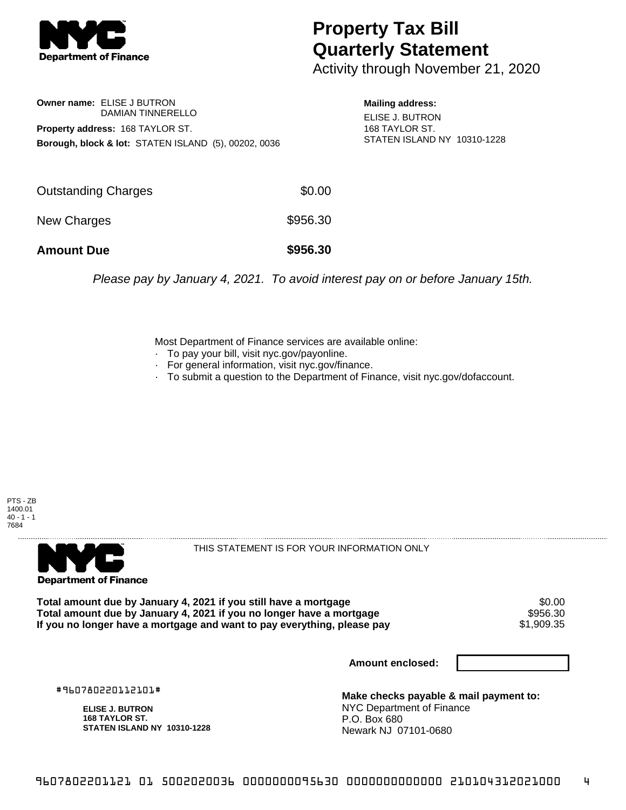

## **Property Tax Bill Quarterly Statement**

Activity through November 21, 2020

**Owner name:** ELISE J BUTRON DAMIAN TINNERELLO **Property address:** 168 TAYLOR ST. **Borough, block & lot:** STATEN ISLAND (5), 00202, 0036

**Mailing address:** ELISE J. BUTRON 168 TAYLOR ST. STATEN ISLAND NY 10310-1228

| <b>Amount Due</b>   | \$956.30 |
|---------------------|----------|
| New Charges         | \$956.30 |
| Outstanding Charges | \$0.00   |

Please pay by January 4, 2021. To avoid interest pay on or before January 15th.

Most Department of Finance services are available online:

- · To pay your bill, visit nyc.gov/payonline.
- For general information, visit nyc.gov/finance.
- · To submit a question to the Department of Finance, visit nyc.gov/dofaccount.





THIS STATEMENT IS FOR YOUR INFORMATION ONLY

Total amount due by January 4, 2021 if you still have a mortgage **\$0.00** \$0.00<br>Total amount due by January 4, 2021 if you no longer have a mortgage **Total amount due by January 4, 2021 if you no longer have a mortgage \$956.30<br>If you no longer have a mortgage and want to pay everything, please pay \$1,909.35** If you no longer have a mortgage and want to pay everything, please pay

**Amount enclosed:**

#960780220112101#

**ELISE J. BUTRON 168 TAYLOR ST. STATEN ISLAND NY 10310-1228**

**Make checks payable & mail payment to:** NYC Department of Finance P.O. Box 680 Newark NJ 07101-0680